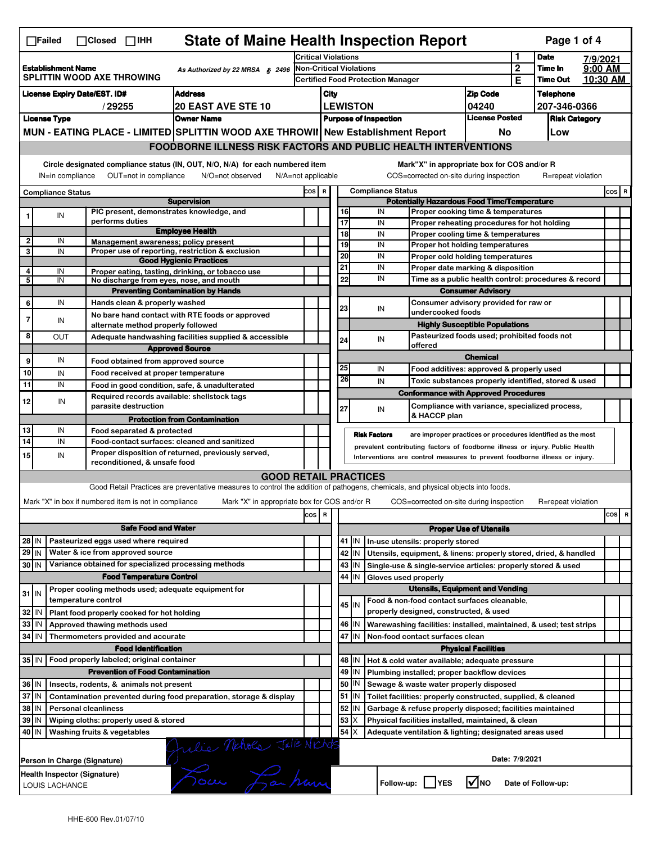|                                                                                            | <b>State of Maine Health Inspection Report</b><br>Page 1 of 4<br>$\Box$ Failed<br>$\Box$ Closed $\Box$ IHH                                                                                                                                                                                |                                                                     |                                                                                                                                   |       |                            |                                                                                                      |                                                              |                                                                                                       |                                       |                            |                     |          |          |
|--------------------------------------------------------------------------------------------|-------------------------------------------------------------------------------------------------------------------------------------------------------------------------------------------------------------------------------------------------------------------------------------------|---------------------------------------------------------------------|-----------------------------------------------------------------------------------------------------------------------------------|-------|----------------------------|------------------------------------------------------------------------------------------------------|--------------------------------------------------------------|-------------------------------------------------------------------------------------------------------|---------------------------------------|----------------------------|---------------------|----------|----------|
|                                                                                            |                                                                                                                                                                                                                                                                                           |                                                                     |                                                                                                                                   |       | <b>Critical Violations</b> |                                                                                                      |                                                              |                                                                                                       |                                       | 1                          | <b>Date</b>         | 7/9/2021 |          |
| <b>Establishment Name</b><br>As Authorized by 22 MRSA § 2496<br>SPLITTIN WOOD AXE THROWING |                                                                                                                                                                                                                                                                                           |                                                                     | <b>Non-Critical Violations</b><br><b>Certified Food Protection Manager</b>                                                        |       |                            |                                                                                                      |                                                              |                                                                                                       | $\overline{2}$<br>Е                   | Time In<br><b>Time Out</b> | 9:00 AM<br>10:30 AM |          |          |
| <b>License Expiry Date/EST. ID#</b><br><b>Address</b>                                      |                                                                                                                                                                                                                                                                                           |                                                                     |                                                                                                                                   | City  |                            |                                                                                                      |                                                              | <b>Zip Code</b>                                                                                       |                                       | <b>Telephone</b>           |                     |          |          |
| <b>20 EAST AVE STE 10</b><br>/29255                                                        |                                                                                                                                                                                                                                                                                           |                                                                     |                                                                                                                                   |       |                            |                                                                                                      |                                                              | 04240                                                                                                 |                                       | 207-346-0366               |                     |          |          |
| <b>License Type</b><br><b>Owner Name</b>                                                   |                                                                                                                                                                                                                                                                                           |                                                                     | <b>LEWISTON</b><br><b>Purpose of Inspection</b>                                                                                   |       |                            | <b>License Posted</b>                                                                                |                                                              | <b>Risk Category</b>                                                                                  |                                       |                            |                     |          |          |
|                                                                                            |                                                                                                                                                                                                                                                                                           |                                                                     | MUN - EATING PLACE - LIMITED SPLITTIN WOOD AXE THROWII New Establishment Report                                                   |       |                            |                                                                                                      |                                                              |                                                                                                       | No                                    |                            | Low                 |          |          |
|                                                                                            |                                                                                                                                                                                                                                                                                           |                                                                     | <b>FOODBORNE ILLNESS RISK FACTORS AND PUBLIC HEALTH INTERVENTIONS</b>                                                             |       |                            |                                                                                                      |                                                              |                                                                                                       |                                       |                            |                     |          |          |
|                                                                                            |                                                                                                                                                                                                                                                                                           |                                                                     |                                                                                                                                   |       |                            |                                                                                                      |                                                              |                                                                                                       |                                       |                            |                     |          |          |
|                                                                                            | Circle designated compliance status (IN, OUT, N/O, N/A) for each numbered item<br>Mark"X" in appropriate box for COS and/or R<br>OUT=not in compliance<br>COS=corrected on-site during inspection<br>IN=in compliance<br>N/O=not observed<br>$N/A = not$ applicable<br>R=repeat violation |                                                                     |                                                                                                                                   |       |                            |                                                                                                      |                                                              |                                                                                                       |                                       |                            |                     |          |          |
|                                                                                            | <b>Compliance Status</b>                                                                                                                                                                                                                                                                  |                                                                     |                                                                                                                                   | COS R |                            |                                                                                                      |                                                              | <b>Compliance Status</b>                                                                              |                                       |                            |                     |          | $cos$ R  |
|                                                                                            |                                                                                                                                                                                                                                                                                           |                                                                     | <b>Supervision</b><br>PIC present, demonstrates knowledge, and                                                                    |       |                            | <b>Potentially Hazardous Food Time/Temperature</b><br>16<br>IN<br>Proper cooking time & temperatures |                                                              |                                                                                                       |                                       |                            |                     |          |          |
| 1                                                                                          | IN                                                                                                                                                                                                                                                                                        | performs duties                                                     |                                                                                                                                   |       |                            | 17                                                                                                   |                                                              | IN<br>Proper reheating procedures for hot holding                                                     |                                       |                            |                     |          |          |
|                                                                                            |                                                                                                                                                                                                                                                                                           |                                                                     | <b>Employee Health</b>                                                                                                            |       |                            | 18                                                                                                   |                                                              | IN<br>Proper cooling time & temperatures                                                              |                                       |                            |                     |          |          |
| 2<br>3                                                                                     | IN<br>IN                                                                                                                                                                                                                                                                                  |                                                                     | Management awareness: policy present<br>Proper use of reporting, restriction & exclusion                                          |       |                            | 19                                                                                                   |                                                              | IN<br>Proper hot holding temperatures                                                                 |                                       |                            |                     |          |          |
|                                                                                            |                                                                                                                                                                                                                                                                                           |                                                                     | <b>Good Hygienic Practices</b>                                                                                                    |       |                            | 20                                                                                                   |                                                              | IN<br>Proper cold holding temperatures                                                                |                                       |                            |                     |          |          |
| 4                                                                                          | IN                                                                                                                                                                                                                                                                                        |                                                                     | Proper eating, tasting, drinking, or tobacco use                                                                                  |       |                            | 21<br>22                                                                                             |                                                              | IN<br>Proper date marking & disposition<br>IN<br>Time as a public health control: procedures & record |                                       |                            |                     |          |          |
| 5                                                                                          | IN                                                                                                                                                                                                                                                                                        |                                                                     | No discharge from eyes, nose, and mouth<br><b>Preventing Contamination by Hands</b>                                               |       |                            |                                                                                                      |                                                              |                                                                                                       | <b>Consumer Advisory</b>              |                            |                     |          |          |
| 6                                                                                          | IN                                                                                                                                                                                                                                                                                        | Hands clean & properly washed                                       |                                                                                                                                   |       |                            |                                                                                                      |                                                              | Consumer advisory provided for raw or                                                                 |                                       |                            |                     |          |          |
|                                                                                            |                                                                                                                                                                                                                                                                                           |                                                                     | No bare hand contact with RTE foods or approved                                                                                   |       |                            | 23                                                                                                   |                                                              | IN<br>undercooked foods                                                                               |                                       |                            |                     |          |          |
| 7                                                                                          | IN                                                                                                                                                                                                                                                                                        | alternate method properly followed                                  |                                                                                                                                   |       |                            |                                                                                                      |                                                              |                                                                                                       | <b>Highly Susceptible Populations</b> |                            |                     |          |          |
| 8                                                                                          | <b>OUT</b>                                                                                                                                                                                                                                                                                |                                                                     | Adequate handwashing facilities supplied & accessible                                                                             |       |                            | 24                                                                                                   |                                                              | Pasteurized foods used; prohibited foods not<br>IN                                                    |                                       |                            |                     |          |          |
|                                                                                            |                                                                                                                                                                                                                                                                                           |                                                                     | <b>Approved Source</b>                                                                                                            |       |                            |                                                                                                      |                                                              | offered                                                                                               | <b>Chemical</b>                       |                            |                     |          |          |
| 9                                                                                          | IN                                                                                                                                                                                                                                                                                        | Food obtained from approved source                                  |                                                                                                                                   |       |                            | 25                                                                                                   |                                                              | IN<br>Food additives: approved & properly used                                                        |                                       |                            |                     |          |          |
| 10                                                                                         | IN                                                                                                                                                                                                                                                                                        | Food received at proper temperature                                 |                                                                                                                                   |       |                            | 26                                                                                                   |                                                              | IN<br>Toxic substances properly identified, stored & used                                             |                                       |                            |                     |          |          |
| 11                                                                                         | IN                                                                                                                                                                                                                                                                                        |                                                                     | Food in good condition, safe, & unadulterated<br>Required records available: shellstock tags                                      |       |                            |                                                                                                      |                                                              | <b>Conformance with Approved Procedures</b>                                                           |                                       |                            |                     |          |          |
| 12                                                                                         | IN                                                                                                                                                                                                                                                                                        | parasite destruction                                                |                                                                                                                                   |       |                            | 27                                                                                                   |                                                              | Compliance with variance, specialized process,<br>IN                                                  |                                       |                            |                     |          |          |
|                                                                                            |                                                                                                                                                                                                                                                                                           |                                                                     | <b>Protection from Contamination</b>                                                                                              |       |                            |                                                                                                      |                                                              | & HACCP plan                                                                                          |                                       |                            |                     |          |          |
| 13                                                                                         | IN                                                                                                                                                                                                                                                                                        | Food separated & protected                                          |                                                                                                                                   |       |                            |                                                                                                      |                                                              | <b>Risk Factors</b><br>are improper practices or procedures identified as the most                    |                                       |                            |                     |          |          |
| 14                                                                                         | IN<br>Food-contact surfaces: cleaned and sanitized<br>prevalent contributing factors of foodborne illness or injury. Public Health                                                                                                                                                        |                                                                     |                                                                                                                                   |       |                            |                                                                                                      |                                                              |                                                                                                       |                                       |                            |                     |          |          |
| 15                                                                                         | Proper disposition of returned, previously served,<br>IN<br>Interventions are control measures to prevent foodborne illness or injury.<br>reconditioned, & unsafe food                                                                                                                    |                                                                     |                                                                                                                                   |       |                            |                                                                                                      |                                                              |                                                                                                       |                                       |                            |                     |          |          |
|                                                                                            |                                                                                                                                                                                                                                                                                           |                                                                     | <b>GOOD RETAIL PRACTICES</b>                                                                                                      |       |                            |                                                                                                      |                                                              |                                                                                                       |                                       |                            |                     |          |          |
|                                                                                            |                                                                                                                                                                                                                                                                                           |                                                                     | Good Retail Practices are preventative measures to control the addition of pathogens, chemicals, and physical objects into foods. |       |                            |                                                                                                      |                                                              |                                                                                                       |                                       |                            |                     |          |          |
|                                                                                            |                                                                                                                                                                                                                                                                                           | Mark "X" in box if numbered item is not in compliance               | Mark "X" in appropriate box for COS and/or R                                                                                      |       |                            |                                                                                                      |                                                              | COS=corrected on-site during inspection                                                               |                                       |                            | R=repeat violation  |          |          |
|                                                                                            |                                                                                                                                                                                                                                                                                           |                                                                     |                                                                                                                                   | cos R |                            |                                                                                                      |                                                              |                                                                                                       |                                       |                            |                     |          | cos<br>R |
|                                                                                            |                                                                                                                                                                                                                                                                                           | <b>Safe Food and Water</b>                                          |                                                                                                                                   |       |                            | <b>Proper Use of Utensils</b>                                                                        |                                                              |                                                                                                       |                                       |                            |                     |          |          |
| 28 IN                                                                                      |                                                                                                                                                                                                                                                                                           | Pasteurized eggs used where required                                |                                                                                                                                   |       |                            |                                                                                                      | 41 J IN                                                      | In-use utensils: properly stored                                                                      |                                       |                            |                     |          |          |
| 29 IN                                                                                      |                                                                                                                                                                                                                                                                                           | Water & ice from approved source                                    |                                                                                                                                   |       |                            |                                                                                                      | 42 IN                                                        | Utensils, equipment, & linens: properly stored, dried, & handled                                      |                                       |                            |                     |          |          |
| 30 IN                                                                                      |                                                                                                                                                                                                                                                                                           | Variance obtained for specialized processing methods                |                                                                                                                                   |       |                            |                                                                                                      | 43 IN                                                        | Single-use & single-service articles: properly stored & used                                          |                                       |                            |                     |          |          |
|                                                                                            |                                                                                                                                                                                                                                                                                           | <b>Food Temperature Control</b>                                     |                                                                                                                                   |       |                            | 44                                                                                                   | IN                                                           | Gloves used properly                                                                                  |                                       |                            |                     |          |          |
| $31$ IN                                                                                    |                                                                                                                                                                                                                                                                                           | Proper cooling methods used; adequate equipment for                 |                                                                                                                                   |       |                            |                                                                                                      |                                                              | <b>Utensils, Equipment and Vending</b>                                                                |                                       |                            |                     |          |          |
|                                                                                            |                                                                                                                                                                                                                                                                                           | temperature control                                                 |                                                                                                                                   |       |                            |                                                                                                      | 45 IN                                                        | Food & non-food contact surfaces cleanable,                                                           |                                       |                            |                     |          |          |
| 32 IN                                                                                      |                                                                                                                                                                                                                                                                                           | Plant food properly cooked for hot holding                          |                                                                                                                                   |       |                            |                                                                                                      | 46 IN                                                        | properly designed, constructed, & used                                                                |                                       |                            |                     |          |          |
| 33 IN<br>34 IN                                                                             |                                                                                                                                                                                                                                                                                           | Approved thawing methods used<br>Thermometers provided and accurate |                                                                                                                                   |       |                            |                                                                                                      | 47 IN                                                        | Warewashing facilities: installed, maintained, & used; test strips<br>Non-food contact surfaces clean |                                       |                            |                     |          |          |
|                                                                                            |                                                                                                                                                                                                                                                                                           |                                                                     |                                                                                                                                   |       |                            |                                                                                                      |                                                              |                                                                                                       | <b>Physical Facilities</b>            |                            |                     |          |          |
|                                                                                            | <b>Food Identification</b><br>35 IN   Food properly labeled; original container                                                                                                                                                                                                           |                                                                     |                                                                                                                                   |       |                            | 48                                                                                                   | l IN                                                         | Hot & cold water available; adequate pressure                                                         |                                       |                            |                     |          |          |
| <b>Prevention of Food Contamination</b>                                                    |                                                                                                                                                                                                                                                                                           |                                                                     |                                                                                                                                   |       | 49                         | IN                                                                                                   | Plumbing installed; proper backflow devices                  |                                                                                                       |                                       |                            |                     |          |          |
| 36 IN<br>Insects, rodents, & animals not present                                           |                                                                                                                                                                                                                                                                                           |                                                                     |                                                                                                                                   |       | 50                         | IN.                                                                                                  | Sewage & waste water properly disposed                       |                                                                                                       |                                       |                            |                     |          |          |
| 37 IN<br>Contamination prevented during food preparation, storage & display                |                                                                                                                                                                                                                                                                                           |                                                                     |                                                                                                                                   |       | 51                         | IN.                                                                                                  | Toilet facilities: properly constructed, supplied, & cleaned |                                                                                                       |                                       |                            |                     |          |          |
| 38 IN<br><b>Personal cleanliness</b>                                                       |                                                                                                                                                                                                                                                                                           |                                                                     |                                                                                                                                   |       | 52                         | IN                                                                                                   | Garbage & refuse properly disposed; facilities maintained    |                                                                                                       |                                       |                            |                     |          |          |
| 39 IN<br>Wiping cloths: properly used & stored                                             |                                                                                                                                                                                                                                                                                           |                                                                     |                                                                                                                                   |       | 53                         | ΙX                                                                                                   | Physical facilities installed, maintained, & clean           |                                                                                                       |                                       |                            |                     |          |          |
|                                                                                            | $54$ $\times$<br>40 IN<br>Washing fruits & vegetables<br>Adequate ventilation & lighting; designated areas used                                                                                                                                                                           |                                                                     |                                                                                                                                   |       |                            |                                                                                                      |                                                              |                                                                                                       |                                       |                            |                     |          |          |
|                                                                                            | Date: 7/9/2021<br>Person in Charge (Signature)                                                                                                                                                                                                                                            |                                                                     |                                                                                                                                   |       |                            |                                                                                                      |                                                              |                                                                                                       |                                       |                            |                     |          |          |
|                                                                                            | Julie Nehols Julie Nichols<br>Health Inspector (Signature)<br>$\sqrt{ }$ NO<br>Follow-up: YES<br>Date of Follow-up:<br>LOUIS LACHANCE                                                                                                                                                     |                                                                     |                                                                                                                                   |       |                            |                                                                                                      |                                                              |                                                                                                       |                                       |                            |                     |          |          |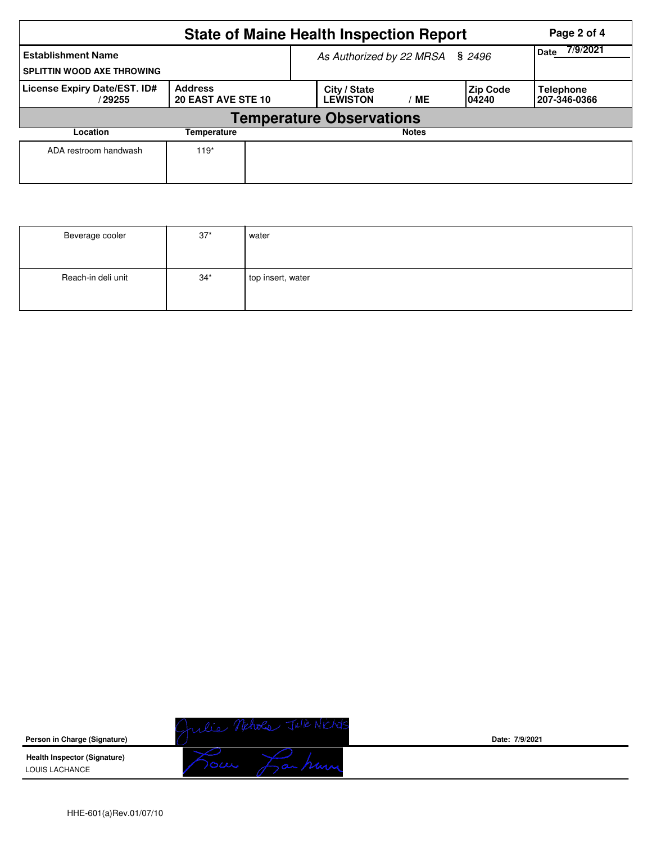| <b>State of Maine Health Inspection Report</b><br>Page 2 of 4  |                                             |  |                                       |                         |                           |                           |  |  |  |  |
|----------------------------------------------------------------|---------------------------------------------|--|---------------------------------------|-------------------------|---------------------------|---------------------------|--|--|--|--|
| <b>Establishment Name</b><br><b>SPLITTIN WOOD AXE THROWING</b> |                                             |  | As Authorized by 22 MRSA § 2496       | 7/9/2021<br><b>Date</b> |                           |                           |  |  |  |  |
| License Expiry Date/EST. ID#<br>/ 29255                        | <b>Address</b><br><b>20 EAST AVE STE 10</b> |  | City / State<br><b>LEWISTON</b><br>МE |                         | <b>Zip Code</b><br>104240 | Telephone<br>207-346-0366 |  |  |  |  |
| <b>Temperature Observations</b>                                |                                             |  |                                       |                         |                           |                           |  |  |  |  |
| Location                                                       |                                             |  | <b>Notes</b>                          |                         |                           |                           |  |  |  |  |
| ADA restroom handwash                                          | $119*$                                      |  |                                       |                         |                           |                           |  |  |  |  |

| Beverage cooler    | $37*$ | water             |
|--------------------|-------|-------------------|
| Reach-in deli unit | $34*$ | top insert, water |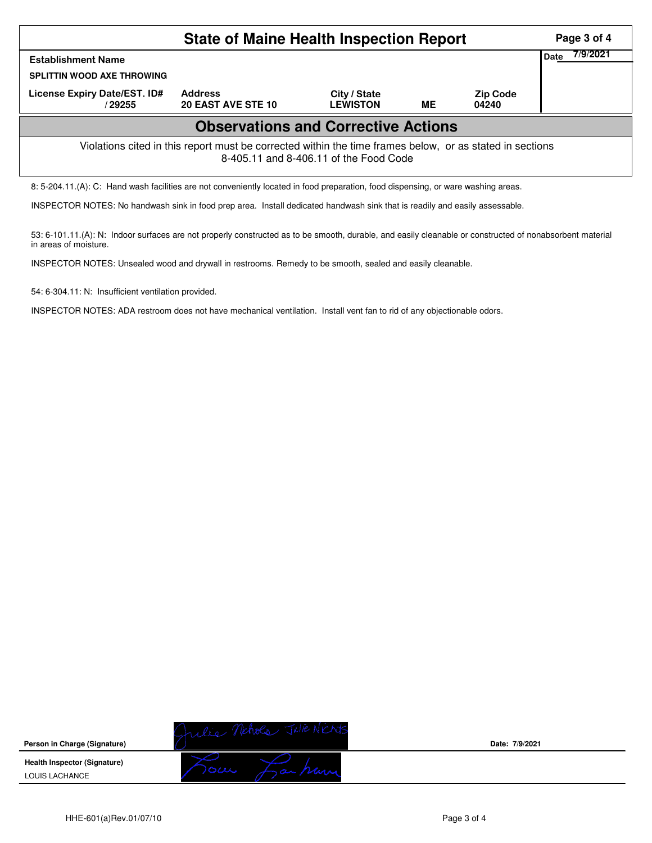| <b>State of Maine Health Inspection Report</b>                                                                                                     |                                      |                                 |           |                          |                  |  |  |  |  |  |
|----------------------------------------------------------------------------------------------------------------------------------------------------|--------------------------------------|---------------------------------|-----------|--------------------------|------------------|--|--|--|--|--|
| <b>Establishment Name</b><br><b>SPLITTIN WOOD AXE THROWING</b>                                                                                     |                                      |                                 |           |                          | 7/9/2021<br>Date |  |  |  |  |  |
| License Expiry Date/EST. ID#<br>/ 29255                                                                                                            | <b>Address</b><br>20 EAST AVE STE 10 | City / State<br><b>LEWISTON</b> | <b>ME</b> | <b>Zip Code</b><br>04240 |                  |  |  |  |  |  |
| <b>Observations and Corrective Actions</b>                                                                                                         |                                      |                                 |           |                          |                  |  |  |  |  |  |
| Violations cited in this report must be corrected within the time frames below, or as stated in sections<br>8-405.11 and 8-406.11 of the Food Code |                                      |                                 |           |                          |                  |  |  |  |  |  |
| 8: 5-204.11.(A): C: Hand wash facilities are not conveniently located in food preparation, food dispensing, or ware washing areas.                 |                                      |                                 |           |                          |                  |  |  |  |  |  |

INSPECTOR NOTES: No handwash sink in food prep area. Install dedicated handwash sink that is readily and easily assessable.

53: 6-101.11.(A): N: Indoor surfaces are not properly constructed as to be smooth, durable, and easily cleanable or constructed of nonabsorbent material in areas of moisture.

INSPECTOR NOTES: Unsealed wood and drywall in restrooms. Remedy to be smooth, sealed and easily cleanable.

54: 6-304.11: N: Insufficient ventilation provided.

INSPECTOR NOTES: ADA restroom does not have mechanical ventilation. Install vent fan to rid of any objectionable odors.

|                                                       | of when       |                |
|-------------------------------------------------------|---------------|----------------|
| Person in Charge (Signature)                          |               | Date: 7/9/2021 |
| <b>Health Inspector (Signature)</b><br>LOUIS LACHANCE | $\circ\omega$ |                |